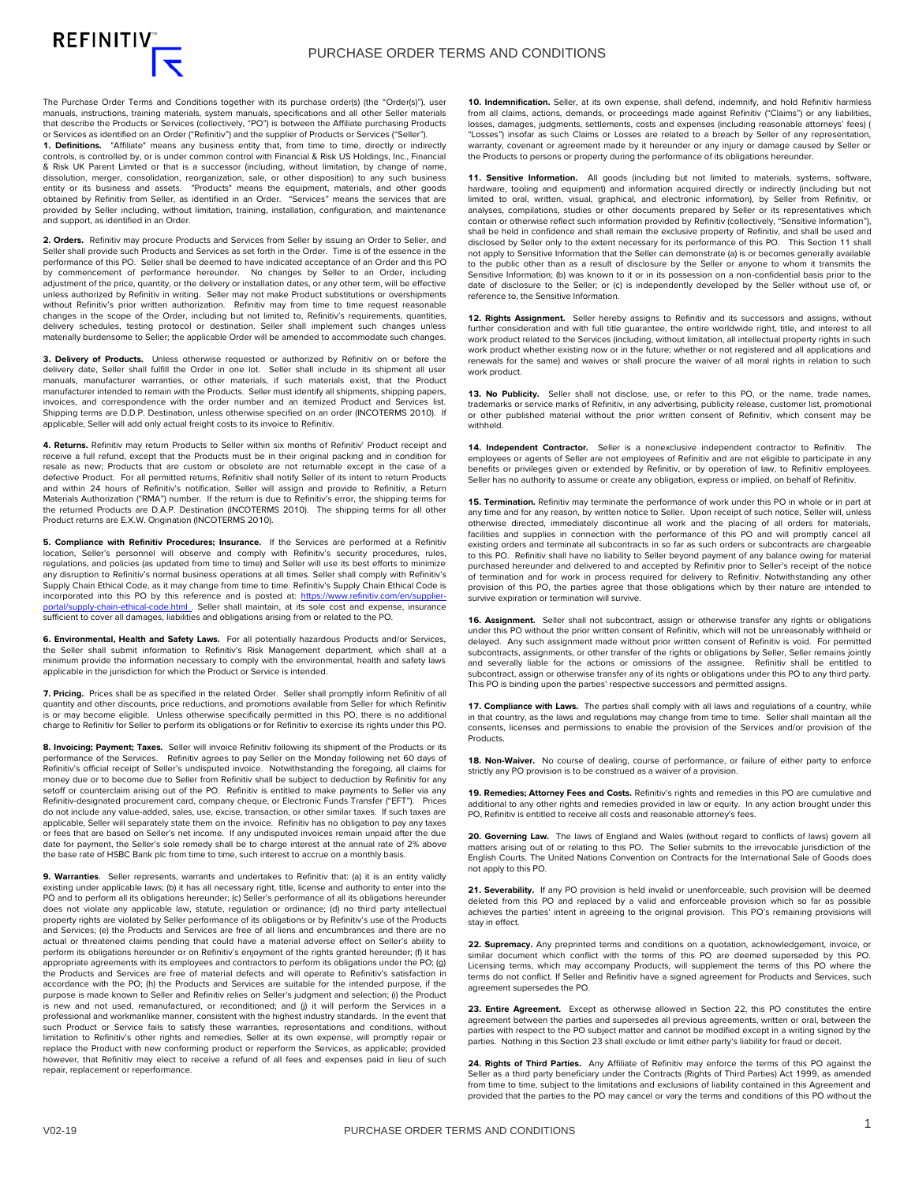The Purchase Order Terms and Conditions together with its purchase order(s) (the "Order(s)"), user manuals, instructions, training materials, system manuals, specifications and all other Seller materials that describe the Products or Services (collectively, "PO") is between the Affiliate purchasing Products or Services as identified on an Order ("Refinitiv") and the supplier of Products or Services ("Seller").

**1. Definitions.** "Affiliate" means any business entity that, from time to time, directly or indirectly controls, is controlled by, or is under common control with Financial & Risk US Holdings, Inc., Financial & Risk UK Parent Limited or that is a successor (including, without limitation, by change of name, dissolution, merger, consolidation, reorganization, sale, or other disposition) to any such business entity or its business and assets. "Products" means the equipment, materials, and other goods obtained by Refinitiv from Seller, as identified in an Order. "Services" means the services that are provided by Seller including, without limitation, training, installation, configuration, and maintenance and support, as identified in an Order.

**2. Orders.** Refinitiv may procure Products and Services from Seller by issuing an Order to Seller, and Seller shall provide such Products and Services as set forth in the Order. Time is of the essence in the performance of this PO. Seller shall be deemed to have indicated acceptance of an Order and this PO by commencement of performance hereunder. No changes by Seller to an Order, including adjustment of the price, quantity, or the delivery or installation dates, or any other term, will be effective unless authorized by Refinitiv in writing. Seller may not make Product substitutions or overshipments without Refinitiv's prior written authorization. Refinitiv may from time to time request reasonable changes in the scope of the Order, including but not limited to, Refinitiv's requirements, quantities, delivery schedules, testing protocol or destination. Seller shall implement such changes unless materially burdensome to Seller; the applicable Order will be amended to accommodate such changes.

**3. Delivery of Products.** Unless otherwise requested or authorized by Refinitiv on or before the delivery date, Seller shall fulfill the Order in one lot. Seller shall include in its shipment all user manuals, manufacturer warranties, or other materials, if such materials exist, that the Product manufacturer intended to remain with the Products. Seller must identify all shipments, shipping papers, invoices, and correspondence with the order number and an itemized Product and Services list. Shipping terms are D.D.P. Destination, unless otherwise specified on an order (INCOTERMS 2010). If applicable, Seller will add only actual freight costs to its invoice to Refinitiv.

**4. Returns.** Refinitiv may return Products to Seller within six months of Refinitiv' Product receipt and receive a full refund, except that the Products must be in their original packing and in condition for resale as new; Products that are custom or obsolete are not returnable except in the case of a defective Product. For all permitted returns, Refinitiv shall notify Seller of its intent to return Products and within 24 hours of Refinitiv's notification, Seller will assign and provide to Refinitiv, a Return Materials Authorization ("RMA") number. If the return is due to Refinitiv's error, the shipping terms for the returned Products are D.A.P. Destination (INCOTERMS 2010). The shipping terms for all other Product returns are E.X.W. Origination (INCOTERMS 2010).

**5. Compliance with Refinitiv Procedures; Insurance.** If the Services are performed at a Refinitiv location, Seller's personnel will observe and comply with Refinitiv's security procedures, rules, regulations, and policies (as updated from time to time) and Seller will use its best efforts to minimize any disruption to Refinitiv's normal business operations at all times. Seller shall comply with Refinitiv's Supply Chain Ethical Code, as it may change from time to time. Refinitiv's Supply Chain Ethical Code is incorporated into this PO by this reference and is posted at: https://www.refinitiv.com/e ortal/supply-chain-ethical-code.html . Seller shall maintain, at its sole cost and expense, insurance sufficient to cover all damages, liabilities and obligations arising from or related to the PO.

**6. Environmental, Health and Safety Laws.** For all potentially hazardous Products and/or Services, the Seller shall submit information to Refinitiv's Risk Management department, which shall at a minimum provide the information necessary to comply with the environmental, health and safety laws applicable in the jurisdiction for which the Product or Service is intended.

**7. Pricing.** Prices shall be as specified in the related Order. Seller shall promptly inform Refinitiv of all quantity and other discounts, price reductions, and promotions available from Seller for which Refinitiv is or may become eligible. Unless otherwise specifically permitted in this PO, there is no additional charge to Refinitiv for Seller to perform its obligations or for Refinitiv to exercise its rights under this PO.

**8. Invoicing; Payment; Taxes.** Seller will invoice Refinitiv following its shipment of the Products or its performance of the Services. Refinitiv agrees to pay Seller on the Monday following net 60 days of Refinitiv's official receipt of Seller's undisputed invoice. Notwithstanding the foregoing, all claims for money due or to become due to Seller from Refinitiv shall be subject to deduction by Refinitiv for any<br>setoff or counterclaim arising out of the PO. Refinitiv is entitled to make payments to Seller via any<br>Refinitiv-desig do not include any value-added, sales, use, excise, transaction, or other similar taxes. If such taxes are applicable, Seller will separately state them on the invoice. Refinitiv has no obligation to pay any taxes or fees that are based on Seller's net income. If any undisputed invoices remain unpaid after the due date for payment, the Seller's sole remedy shall be to charge interest at the annual rate of 2% above the base rate of HSBC Bank plc from time to time, such interest to accrue on a monthly basis.

**9. Warranties**. Seller represents, warrants and undertakes to Refinitiv that: (a) it is an entity validly existing under applicable laws; (b) it has all necessary right, title, license and authority to enter into the PO and to perform all its obligations hereunder; (c) Seller's performance of all its obligations hereunder does not violate any applicable law, statute, regulation or ordinance; (d) no third party intellectual<br>property rights are violated by Seller performance of its obligations or by Refinitiv's use of the Products<br>and Service actual or threatened claims pending that could have a material adverse effect on Seller's ability to perform its obligations hereunder or on Refinitiv's enjoyment of the rights granted hereunder; (f) it has appropriate agreements with its employees and contractors to perform its obligations under the PO; (g) the Products and Services are free of material defects and will operate to Refinitiv's satisfaction in accordance with the PO; (h) the Products and Services are suitable for the intended purpose, if the purpose is made known to Seller and Refinitiv relies on Seller's judgment and selection; (i) the Product is new and not used, remanufactured, or reconditioned; and (j) it will perform the Services in a professional and workmanlike manner, consistent with the highest industry standards. In the event that such Product or Service fails to satisfy these warranties, representations and conditions, without limitation to Refinitiv's other rights and remedies, Seller at its own expense, will promptly repair or replace the Product with new conforming product or reperform the Services, as applicable; provided however, that Refinitiv may elect to receive a refund of all fees and expenses paid in lieu of such repair, replacement or reperformance.

**10. Indemnification.** Seller, at its own expense, shall defend, indemnify, and hold Refinitiv harmless from all claims, actions, demands, or proceedings made against Refinitiv ("Claims") or any liabilities, losses, damages, judgments, settlements, costs and expenses (including reasonable attorneys' fees) ( "Losses") insofar as such Claims or Losses are related to a breach by Seller of any representation, warranty, covenant or agreement made by it hereunder or any injury or damage caused by Seller or the Products to persons or property during the performance of its obligations hereunder.

11. Sensitive Information. All goods (including but not limited to materials, systems, software, hardware, tooling and equipment) and information acquired directly or indirectly (including but not limited to oral, written, visual, graphical, and electronic information), by Seller from Refinitiv, or analyses, compilations, studies or other documents prepared by Seller or its representatives which contain or otherwise reflect such information provided by Refinitiv (collectively, "Sensitive Information"), shall be held in confidence and shall remain the exclusive property of Refinitiv, and shall be used and disclosed by Seller only to the extent necessary for its performance of this PO. This Section 11 shall not apply to Sensitive Information that the Seller can demonstrate (a) is or becomes generally available to the public other than as a result of disclosure by the Seller or anyone to whom it transmits the Sensitive Information; (b) was known to it or in its possession on a non-confidential basis prior to the date of disclosure to the Seller; or (c) is independently developed by the Seller without use of, or reference to, the Sensitive Information.

**12. Rights Assignment.** Seller hereby assigns to Refinitiv and its successors and assigns, without further consideration and with full title guarantee, the entire worldwide right, title, and interest to all work product related to the Services (including, without limitation, all intellectual property rights in such work product whether existing now or in the future; whether or not registered and all applications and renewals for the same) and waives or shall procure the waiver of all moral rights in relation to such work product.

13. No Publicity. Seller shall not disclose, use, or refer to this PO, or the name, trade names, trademarks or service marks of Refinitiv, in any advertising, publicity release, customer list, promotional or other published material without the prior written consent of Refinitiv, which consent may be withheld.

**14. Independent Contractor.** Seller is a nonexclusive independent contractor to Refinitiv. The employees or agents of Seller are not employees of Refinitiv and are not eligible to participate in any benefits or privileges given or extended by Refinitiv, or by operation of law, to Refinitiv employees. Seller has no authority to assume or create any obligation, express or implied, on behalf of Refinitiv.

**15. Termination.** Refinitiv may terminate the performance of work under this PO in whole or in part at any time and for any reason, by written notice to Seller. Upon receipt of such notice, Seller will, unless otherwise directed, immediately discontinue all work and the placing of all orders for materials, facilities and supplies in connection with the performance of this PO and will promptly cancel all existing orders and terminate all subcontracts in so far as such orders or subcontracts are chargeable to this PO. Refinitiv shall have no liability to Seller beyond payment of any balance owing for material purchased hereunder and delivered to and accepted by Refinitiv prior to Seller's receipt of the notice of termination and for work in process required for delivery to Refinitiv. Notwithstanding any other provision of this PO, the parties agree that those obligations which by their nature are intended to survive expiration or termination will survive.

**16. Assignment.** Seller shall not subcontract, assign or otherwise transfer any rights or obligations under this PO without the prior written consent of Refinitiv, which will not be unreasonably withheld or delayed. Any such assignment made without prior written consent of Refinitiv is void. For permitted subcontracts, assignments, or other transfer of the rights or obligations by Seller, Seller remains jointly and severally liable for the actions or omissions of the assignee. Refinitiv shall be entitled to subcontract, assign or otherwise transfer any of its rights or obligations under this PO to any third party. This PO is binding upon the parties' respective successors and permitted assigns.

**17. Compliance with Laws.** The parties shall comply with all laws and regulations of a country, while in that country, as the laws and regulations may change from time to time. Seller shall maintain all the consents, licenses and permissions to enable the provision of the Services and/or provision of the **Products** 

**18. Non-Waiver.** No course of dealing, course of performance, or failure of either party to enforce strictly any PO provision is to be construed as a waiver of a provision.

**19. Remedies; Attorney Fees and Costs.** Refinitiv's rights and remedies in this PO are cumulative and additional to any other rights and remedies provided in law or equity. In any action brought under this PO, Refinitiv is entitled to receive all costs and reasonable attorney's fees.

**20. Governing Law.** The laws of England and Wales (without regard to conflicts of laws) govern all matters arising out of or relating to this PO. The Seller submits to the irrevocable jurisdiction of the English Courts. The United Nations Convention on Contracts for the International Sale of Goods does not apply to this PO.

**21. Severability.** If any PO provision is held invalid or unenforceable, such provision will be deemed deleted from this PO and replaced by a valid and enforceable provision which so far as possible achieves the parties' intent in agreeing to the original provision. This PO's remaining provisions will stay in effect.

**22. Supremacy.** Any preprinted terms and conditions on a quotation, acknowledgement, invoice, or similar document which conflict with the terms of this PO are deemed superseded by this PO. Licensing terms, which may accompany Products, will supplement the terms of this PO where the terms do not conflict. If Seller and Refinitiv have a signed agreement for Products and Services, such agreement supersedes the PO.

**23. Entire Agreement.** Except as otherwise allowed in Section 22, this PO constitutes the entire agreement between the parties and supersedes all previous agreements, written or oral, between the parties with respect to the PO subject matter and cannot be modified except in a writing signed by the parties. Nothing in this Section 23 shall exclude or limit either party's liability for fraud or deceit.

**24. Rights of Third Parties.** Any Affiliate of Refinitiv may enforce the terms of this PO against the Seller as a third party beneficiary under the Contracts (Rights of Third Parties) Act 1999, as amended from time to time, subject to the limitations and exclusions of liability contained in this Agreement and provided that the parties to the PO may cancel or vary the terms and conditions of this PO without the